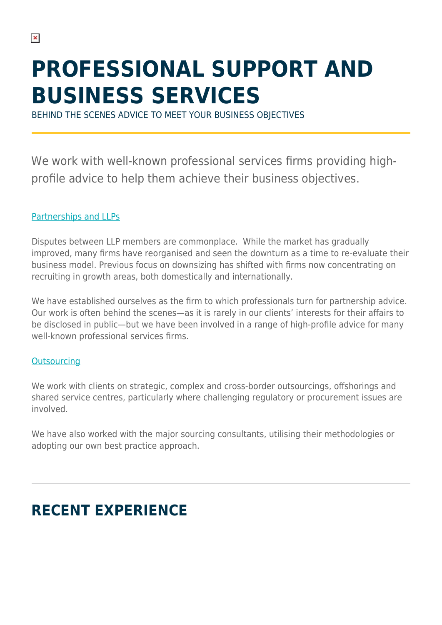# **PROFESSIONAL SUPPORT AND BUSINESS SERVICES**

BEHIND THE SCENES ADVICE TO MEET YOUR BUSINESS OBJECTIVES

We work with well-known professional services firms providing highprofile advice to help them achieve their business objectives.

#### [Partnerships and LLPs](https://www.herbertsmithfreehills.com/our-expertise/services/partnerships-and-llps)

Disputes between LLP members are commonplace. While the market has gradually improved, many firms have reorganised and seen the downturn as a time to re-evaluate their business model. Previous focus on downsizing has shifted with firms now concentrating on recruiting in growth areas, both domestically and internationally.

We have established ourselves as the firm to which professionals turn for partnership advice. Our work is often behind the scenes—as it is rarely in our clients' interests for their affairs to be disclosed in public—but we have been involved in a range of high-profile advice for many well-known professional services firms.

#### **[Outsourcing](https://www.herbertsmithfreehills.com/our-expertise/services/outsourcing)**

We work with clients on strategic, complex and cross-border outsourcings, offshorings and shared service centres, particularly where challenging regulatory or procurement issues are involved.

We have also worked with the major sourcing consultants, utilising their methodologies or adopting our own best practice approach.

## **RECENT EXPERIENCE**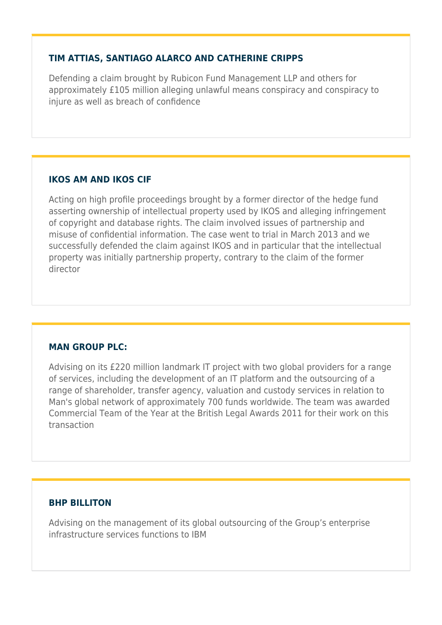#### **TIM ATTIAS, SANTIAGO ALARCO AND CATHERINE CRIPPS**

Defending a claim brought by Rubicon Fund Management LLP and others for approximately £105 million alleging unlawful means conspiracy and conspiracy to injure as well as breach of confidence

#### **IKOS AM AND IKOS CIF**

Acting on high profile proceedings brought by a former director of the hedge fund asserting ownership of intellectual property used by IKOS and alleging infringement of copyright and database rights. The claim involved issues of partnership and misuse of confidential information. The case went to trial in March 2013 and we successfully defended the claim against IKOS and in particular that the intellectual property was initially partnership property, contrary to the claim of the former director

#### **MAN GROUP PLC:**

Advising on its £220 million landmark IT project with two global providers for a range of services, including the development of an IT platform and the outsourcing of a range of shareholder, transfer agency, valuation and custody services in relation to Man's global network of approximately 700 funds worldwide. The team was awarded Commercial Team of the Year at the British Legal Awards 2011 for their work on this transaction

#### **BHP BILLITON**

Advising on the management of its global outsourcing of the Group's enterprise infrastructure services functions to IBM